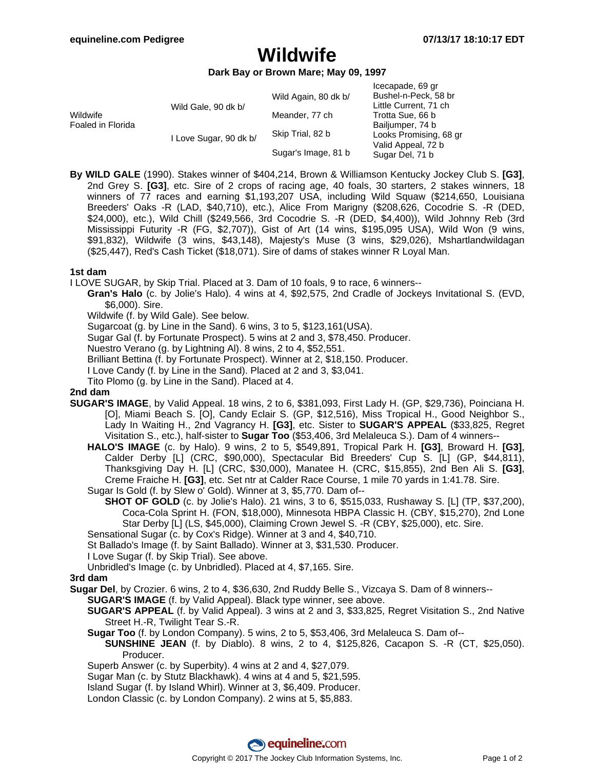# **Wildwife**

#### **Dark Bay or Brown Mare; May 09, 1997**

| Wildwife<br>Foaled in Florida | Wild Gale, 90 dk b/    | Wild Again, 80 dk b/ | Icecapade, 69 gr<br>Bushel-n-Peck, 58 br<br>Little Current, 71 ch                   |
|-------------------------------|------------------------|----------------------|-------------------------------------------------------------------------------------|
|                               |                        | Meander, 77 ch       | Trotta Sue, 66 b                                                                    |
|                               | I Love Sugar, 90 dk b/ | Skip Trial, 82 b     | Bailjumper, 74 b<br>Looks Promising, 68 gr<br>Valid Appeal, 72 b<br>Sugar Del, 71 b |
|                               |                        | Sugar's Image, 81 b  |                                                                                     |

**By WILD GALE** (1990). Stakes winner of \$404,214, Brown & Williamson Kentucky Jockey Club S. **[G3]**, 2nd Grey S. **[G3]**, etc. Sire of 2 crops of racing age, 40 foals, 30 starters, 2 stakes winners, 18 winners of 77 races and earning \$1,193,207 USA, including Wild Squaw (\$214,650, Louisiana Breeders' Oaks -R (LAD, \$40,710), etc.), Alice From Marigny (\$208,626, Cocodrie S. -R (DED, \$24,000), etc.), Wild Chill (\$249,566, 3rd Cocodrie S. -R (DED, \$4,400)), Wild Johnny Reb (3rd Mississippi Futurity -R (FG, \$2,707)), Gist of Art (14 wins, \$195,095 USA), Wild Won (9 wins, \$91,832), Wildwife (3 wins, \$43,148), Majesty's Muse (3 wins, \$29,026), Mshartlandwildagan (\$25,447), Red's Cash Ticket (\$18,071). Sire of dams of stakes winner R Loyal Man.

### **1st dam**

I LOVE SUGAR, by Skip Trial. Placed at 3. Dam of 10 foals, 9 to race, 6 winners--

- **Gran's Halo** (c. by Jolie's Halo). 4 wins at 4, \$92,575, 2nd Cradle of Jockeys Invitational S. (EVD, \$6,000). Sire.
	- Wildwife (f. by Wild Gale). See below.
	- Sugarcoat (g. by Line in the Sand). 6 wins, 3 to 5, \$123,161(USA).
	- Sugar Gal (f. by Fortunate Prospect). 5 wins at 2 and 3, \$78,450. Producer.
	- Nuestro Verano (g. by Lightning Al). 8 wins, 2 to 4, \$52,551.
	- Brilliant Bettina (f. by Fortunate Prospect). Winner at 2, \$18,150. Producer.
	- I Love Candy (f. by Line in the Sand). Placed at 2 and 3, \$3,041.
	- Tito Plomo (g. by Line in the Sand). Placed at 4.

#### **2nd dam**

- **SUGAR'S IMAGE**, by Valid Appeal. 18 wins, 2 to 6, \$381,093, First Lady H. (GP, \$29,736), Poinciana H. [O], Miami Beach S. [O], Candy Eclair S. (GP, \$12,516), Miss Tropical H., Good Neighbor S., Lady In Waiting H., 2nd Vagrancy H. **[G3]**, etc. Sister to **SUGAR'S APPEAL** (\$33,825, Regret Visitation S., etc.), half-sister to **Sugar Too** (\$53,406, 3rd Melaleuca S.). Dam of 4 winners--
	- **HALO'S IMAGE** (c. by Halo). 9 wins, 2 to 5, \$549,891, Tropical Park H. **[G3]**, Broward H. **[G3]**, Calder Derby [L] (CRC, \$90,000), Spectacular Bid Breeders' Cup S. [L] (GP, \$44,811), Thanksgiving Day H. [L] (CRC, \$30,000), Manatee H. (CRC, \$15,855), 2nd Ben Ali S. **[G3]**, Creme Fraiche H. **[G3]**, etc. Set ntr at Calder Race Course, 1 mile 70 yards in 1:41.78. Sire. Sugar Is Gold (f. by Slew o' Gold). Winner at 3, \$5,770. Dam of--
	- **SHOT OF GOLD** (c. by Jolie's Halo). 21 wins, 3 to 6, \$515,033, Rushaway S. [L] (TP, \$37,200),
		- Coca-Cola Sprint H. (FON, \$18,000), Minnesota HBPA Classic H. (CBY, \$15,270), 2nd Lone Star Derby [L] (LS, \$45,000), Claiming Crown Jewel S. -R (CBY, \$25,000), etc. Sire.
	- Sensational Sugar (c. by Cox's Ridge). Winner at 3 and 4, \$40,710.
	- St Ballado's Image (f. by Saint Ballado). Winner at 3, \$31,530. Producer.
	- I Love Sugar (f. by Skip Trial). See above.
	- Unbridled's Image (c. by Unbridled). Placed at 4, \$7,165. Sire.

#### **3rd dam**

- **Sugar Del**, by Crozier. 6 wins, 2 to 4, \$36,630, 2nd Ruddy Belle S., Vizcaya S. Dam of 8 winners--
	- **SUGAR'S IMAGE** (f. by Valid Appeal). Black type winner, see above.
	- **SUGAR'S APPEAL** (f. by Valid Appeal). 3 wins at 2 and 3, \$33,825, Regret Visitation S., 2nd Native Street H.-R, Twilight Tear S.-R.
	- **Sugar Too** (f. by London Company). 5 wins, 2 to 5, \$53,406, 3rd Melaleuca S. Dam of--
		- **SUNSHINE JEAN** (f. by Diablo). 8 wins, 2 to 4, \$125,826, Cacapon S. -R (CT, \$25,050). Producer.
	- Superb Answer (c. by Superbity). 4 wins at 2 and 4, \$27,079.
	- Sugar Man (c. by Stutz Blackhawk). 4 wins at 4 and 5, \$21,595.
	- Island Sugar (f. by Island Whirl). Winner at 3, \$6,409. Producer.
	- London Classic (c. by London Company). 2 wins at 5, \$5,883.